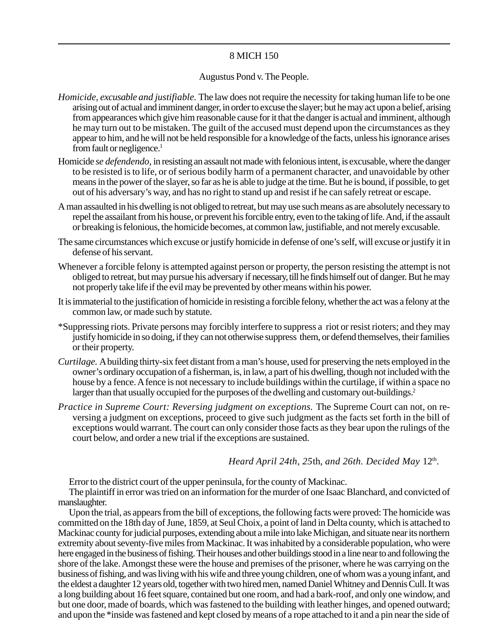# 8 MICH 150

## Augustus Pond v. The People.

- *Homicide, excusable and justifiable.* The law does not require the necessity for taking human life to be one arising out of actual and imminent danger, in order to excuse the slayer; but he may act upon a belief, arising from appearances which give him reasonable cause for it that the danger is actual and imminent, although he may turn out to be mistaken. The guilt of the accused must depend upon the circumstances as they appear to him, and he will not be held responsible for a knowledge of the facts, unless his ignorance arises from fault or negligence.<sup>1</sup>
- Homicide *se defendendo,* in resisting an assault not made with felonious intent, is excusable, where the danger to be resisted is to life, or of serious bodily harm of a permanent character, and unavoidable by other means in the power of the slayer, so far as he is able to judge at the time. But he is bound, if possible, to get out of his adversary's way, and has no right to stand up and resist if he can safely retreat or escape.
- A man assaulted in his dwelling is not obliged to retreat, but may use such means as are absolutely necessary to repel the assailant from his house, or prevent his forcible entry, even to the taking of life. And, if the assault or breaking is felonious, the homicide becomes, at common law, justifiable, and not merely excusable.
- The same circumstances which excuse or justify homicide in defense of one's self, will excuse or justify it in defense of his servant.
- Whenever a forcible felony is attempted against person or property, the person resisting the attempt is not obliged to retreat, but may pursue his adversary if necessary, till he finds himself out of danger. But he may not properly take life if the evil may be prevented by other means within his power.
- It is immaterial to the justification of homicide in resisting a forcible felony, whether the act was a felony at the common law, or made such by statute.
- \*Suppressing riots. Private persons may forcibly interfere to suppress a riot or resist rioters; and they may justify homicide in so doing, if they can not otherwise suppress them, or defend themselves, their families or their property.
- *Curtilage.* A building thirty-six feet distant from a man's house, used for preserving the nets employed in the owner's ordinary occupation of a fisherman, is, in law, a part of his dwelling, though not included with the house by a fence. A fence is not necessary to include buildings within the curtilage, if within a space no larger than that usually occupied for the purposes of the dwelling and customary out-buildings.<sup>2</sup>
- *Practice in Supreme Court: Reversing judgment on exceptions.* The Supreme Court can not, on reversing a judgment on exceptions, proceed to give such judgment as the facts set forth in the bill of exceptions would warrant. The court can only consider those facts as they bear upon the rulings of the court below, and order a new trial if the exceptions are sustained.

*Heard April 24th, 25th, and 26th. Decided May 12<sup>th</sup>.* 

Error to the district court of the upper peninsula, for the county of Mackinac.

The plaintiff in error was tried on an information for the murder of one Isaac Blanchard, and convicted of manslaughter.

Upon the trial, as appears from the bill of exceptions, the following facts were proved: The homicide was committed on the 18th day of June, 1859, at Seul Choix, a point of land in Delta county, which is attached to Mackinac county for judicial purposes, extending about a mile into lake Michigan, and situate near its northern extremity about seventy-five miles from Mackinac. It was inhabited by a considerable population, who were here engaged in the business of fishing. Their houses and other buildings stood in a line near to and following the shore of the lake. Amongst these were the house and premises of the prisoner, where he was carrying on the business of fishing, and was living with his wife and three young children, one of whom was a young infant, and the eldest a daughter 12 years old, together with two hired men, named Daniel Whitney and Dennis Cull. It was a long building about 16 feet square, contained but one room, and had a bark-roof, and only one window, and but one door, made of boards, which was fastened to the building with leather hinges, and opened outward; and upon the \*inside was fastened and kept closed by means of a rope attached to it and a pin near the side of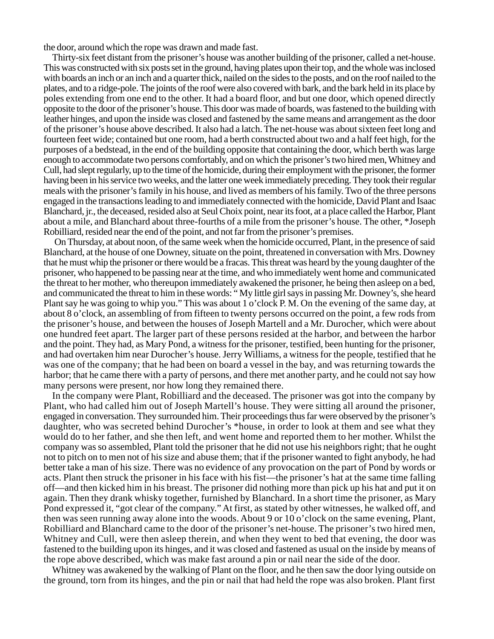the door, around which the rope was drawn and made fast.

Thirty-six feet distant from the prisoner's house was another building of the prisoner, called a net-house. This was constructed with six posts set in the ground, having plates upon their top, and the whole was inclosed with boards an inch or an inch and a quarter thick, nailed on the sides to the posts, and on the roof nailed to the plates, and to a ridge-pole. The joints of the roof were also covered with bark, and the bark held in its place by poles extending from one end to the other. It had a board floor, and but one door, which opened directly opposite to the door of the prisoner's house. This door was made of boards, was fastened to the building with leather hinges, and upon the inside was closed and fastened by the same means and arrangement as the door of the prisoner's house above described. It also had a latch. The net-house was about sixteen feet long and fourteen feet wide; contained but one room, had a berth constructed about two and a half feet high, for the purposes of a bedstead, in the end of the building opposite that containing the door, which berth was large enough to accommodate two persons comfortably, and on which the prisoner's two hired men, Whitney and Cull, had slept regularly, up to the time of the homicide, during their employment with the prisoner, the former having been in his service two weeks, and the latter one week immediately preceding. They took their regular meals with the prisoner's family in his house, and lived as members of his family. Two of the three persons engaged in the transactions leading to and immediately connected with the homicide, David Plant and Isaac Blanchard, jr., the deceased, resided also at Seul Choix point, near its foot, at a place called the Harbor, Plant about a mile, and Blanchard about three-fourths of a mile from the prisoner's house. The other, \*Joseph Robilliard, resided near the end of the point, and not far from the prisoner's premises.

On Thursday, at about noon, of the same week when the homicide occurred, Plant, in the presence of said Blanchard, at the house of one Downey, situate on the point, threatened in conversation with Mrs. Downey that he must whip the prisoner or there would be a fracas. This threat was heard by the young daughter of the prisoner, who happened to be passing near at the time, and who immediately went home and communicated the threat to her mother, who thereupon immediately awakened the prisoner, he being then asleep on a bed, and communicated the threat to him in these words: " My little girl says in passing Mr. Downey's, she heard Plant say he was going to whip you." This was about 1 o'clock P. M. On the evening of the same day, at about 8 o'clock, an assembling of from fifteen to twenty persons occurred on the point, a few rods from the prisoner's house, and between the houses of Joseph Martell and a Mr. Durocher, which were about one hundred feet apart. The larger part of these persons resided at the harbor, and between the harbor and the point. They had, as Mary Pond, a witness for the prisoner, testified, been hunting for the prisoner, and had overtaken him near Durocher's house. Jerry Williams, a witness for the people, testified that he was one of the company; that he had been on board a vessel in the bay, and was returning towards the harbor; that he came there with a party of persons, and there met another party, and he could not say how many persons were present, nor how long they remained there.

In the company were Plant, Robilliard and the deceased. The prisoner was got into the company by Plant, who had called him out of Joseph Martell's house. They were sitting all around the prisoner, engaged in conversation. They surrounded him. Their proceedings thus far were observed by the prisoner's daughter, who was secreted behind Durocher's \*house, in order to look at them and see what they would do to her father, and she then left, and went home and reported them to her mother. Whilst the company was so assembled, Plant told the prisoner that he did not use his neighbors right; that he ought not to pitch on to men not of his size and abuse them; that if the prisoner wanted to fight anybody, he had better take a man of his size. There was no evidence of any provocation on the part of Pond by words or acts. Plant then struck the prisoner in his face with his fist—the prisoner's hat at the same time falling off—and then kicked him in his breast. The prisoner did nothing more than pick up his hat and put it on again. Then they drank whisky together, furnished by Blanchard. In a short time the prisoner, as Mary Pond expressed it, "got clear of the company." At first, as stated by other witnesses, he walked off, and then was seen running away alone into the woods. About 9 or 10 o'clock on the same evening, Plant, Robilliard and Blanchard came to the door of the prisoner's net-house. The prisoner's two hired men, Whitney and Cull, were then asleep therein, and when they went to bed that evening, the door was fastened to the building upon its hinges, and it was closed and fastened as usual on the inside by means of the rope above described, which was make fast around a pin or nail near the side of the door.

Whitney was awakened by the walking of Plant on the floor, and he then saw the door lying outside on the ground, torn from its hinges, and the pin or nail that had held the rope was also broken. Plant first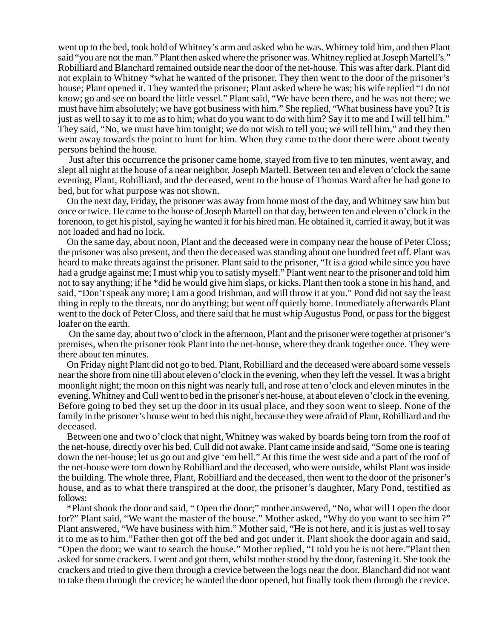went up to the bed, took hold of Whitney's arm and asked who he was. Whitney told him, and then Plant said "you are not the man." Plant then asked where the prisoner was. Whitney replied at Joseph Martell's." Robilliard and Blanchard remained outside near the door of the net-house. This was after dark. Plant did not explain to Whitney \*what he wanted of the prisoner. They then went to the door of the prisoner's house; Plant opened it. They wanted the prisoner; Plant asked where he was; his wife replied "I do not know; go and see on board the little vessel." Plant said, "We have been there, and he was not there; we must have him absolutely; we have got business with him." She replied, "What business have you? It is just as well to say it to me as to him; what do you want to do with him? Say it to me and I will tell him." They said, "No, we must have him tonight; we do not wish to tell you; we will tell him," and they then went away towards the point to hunt for him. When they came to the door there were about twenty persons behind the house.

Just after this occurrence the prisoner came home, stayed from five to ten minutes, went away, and slept all night at the house of a near neighbor, Joseph Martell. Between ten and eleven o'clock the same evening, Plant, Robilliard, and the deceased, went to the house of Thomas Ward after he had gone to bed, but for what purpose was not shown.

On the next day, Friday, the prisoner was away from home most of the day, and Whitney saw him but once or twice. He came to the house of Joseph Martell on that day, between ten and eleven o'clock in the forenoon, to get his pistol, saying he wanted it for his hired man. He obtained it, carried it away, but it was not loaded and had no lock.

On the same day, about noon, Plant and the deceased were in company near the house of Peter Closs; the prisoner was also present, and then the deceased was standing about one hundred feet off. Plant was heard to make threats against the prisoner. Plant said to the prisoner, "It is a good while since you have had a grudge against me; I must whip you to satisfy myself." Plant went near to the prisoner and told him not to say anything; if he \*did he would give him slaps, or kicks. Plant then took a stone in his hand, and said, "Don't speak any more; I am a good Irishman, and will throw it at you." Pond did not say the least thing in reply to the threats, nor do anything; but went off quietly home. Immediately afterwards Plant went to the dock of Peter Closs, and there said that he must whip Augustus Pond, or pass for the biggest loafer on the earth.

On the same day, about two o'clock in the afternoon, Plant and the prisoner were together at prisoner's premises, when the prisoner took Plant into the net-house, where they drank together once. They were there about ten minutes.

On Friday night Plant did not go to bed. Plant, Robilliard and the deceased were aboard some vessels near the shore from nine till about eleven o'clock in the evening, when they left the vessel. It was a bright moonlight night; the moon on this night was nearly full, and rose at ten o'clock and eleven minutes in the evening. Whitney and Cull went to bed in the prisoner' s net-house, at about eleven o'clock in the evening. Before going to bed they set up the door in its usual place, and they soon went to sleep. None of the family in the prisoner's house went to bed this night, because they were afraid of Plant, Robilliard and the deceased.

Between one and two o'clock that night, Whitney was waked by boards being torn from the roof of the net-house, directly over his bed. Cull did not awake. Plant came inside and said, "Some one is tearing down the net-house; let us go out and give 'em hell." At this time the west side and a part of the roof of the net-house were torn down by Robilliard and the deceased, who were outside, whilst Plant was inside the building. The whole three, Plant, Robilliard and the deceased, then went to the door of the prisoner's house, and as to what there transpired at the door, the prisoner's daughter, Mary Pond, testified as follows:

\*Plant shook the door and said, " Open the door;" mother answered, "No, what will I open the door for?" Plant said, "We want the master of the house." Mother asked, "Why do you want to see him ?" Plant answered, "We have business with him." Mother said, "He is not here, and it is just as well to say it to me as to him."Father then got off the bed and got under it. Plant shook the door again and said, "Open the door; we want to search the house." Mother replied, "I told you he is not here."Plant then asked for some crackers. I went and got them, whilst mother stood by the door, fastening it. She took the crackers and tried to give them through a crevice between the logs near the door. Blanchard did not want to take them through the crevice; he wanted the door opened, but finally took them through the crevice.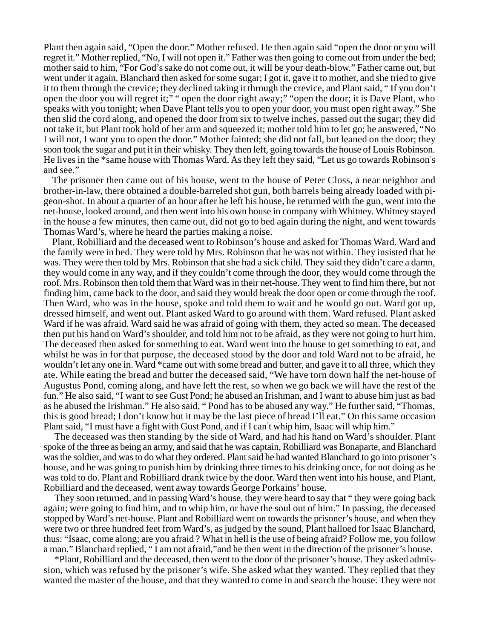Plant then again said, "Open the door." Mother refused. He then again said "open the door or you will regret it." Mother replied, "No, I will not open it." Father was then going to come out from under the bed; mother said to him, "For God's sake do not come out, it will be your death-blow." Father came out, but went under it again. Blanchard then asked for some sugar; I got it, gave it to mother, and she tried to give it to them through the crevice; they declined taking it through the crevice, and Plant said, " If you don't open the door you will regret it;" " open the door right away;" "open the door; it is Dave Plant, who speaks with you tonight; when Dave Plant tells you to open your door, you must open right away." She then slid the cord along, and opened the door from six to twelve inches, passed out the sugar; they did not take it, but Plant took hold of her arm and squeezed it; mother told him to let go; he answered, "No I will not, I want you to open the door." Mother fainted; she did not fall, but leaned on the door; they soon took the sugar and put it in their whisky. They then left, going towards the house of Louis Robinson. He lives in the \*same house with Thomas Ward. As they left they said, "Let us go towards Robinson' s and see."

The prisoner then came out of his house, went to the house of Peter Closs, a near neighbor and brother-in-law, there obtained a double-barreled shot gun, both barrels being already loaded with pigeon-shot. In about a quarter of an hour after he left his house, he returned with the gun, went into the net-house, looked around, and then went into his own house in company with Whitney. Whitney stayed in the house a few minutes, then came out, did not go to bed again during the night, and went towards Thomas Ward's, where he heard the parties making a noise.

Plant, Robilliard and the deceased went to Robinson's house and asked for Thomas Ward. Ward and the family were in bed. They were told by Mrs. Robinson that he was not within. They insisted that he was. They were then told by Mrs. Robinson that she had a sick child. They said they didn't care a damn, they would come in any way, and if they couldn't come through the door, they would come through the roof. Mrs. Robinson then told them that Ward was in their net-house. They went to find him there, but not finding him, came back to the door, and said they would break the door open or come through the roof. Then Ward, who was in the house, spoke and told them to wait and he would go out. Ward got up, dressed himself, and went out. Plant asked Ward to go around with them. Ward refused. Plant asked Ward if he was afraid. Ward said he was afraid of going with them, they acted so mean. The deceased then put his hand on Ward's shoulder, and told him not to be afraid, as they were not going to hurt him. The deceased then asked for something to eat. Ward went into the house to get something to eat, and whilst he was in for that purpose, the deceased stood by the door and told Ward not to be afraid, he wouldn't let any one in. Ward \*came out with some bread and butter, and gave it to all three, which they ate. While eating the bread and butter the deceased said, "We have torn down half the net-house of Augustus Pond, coming along, and have left the rest, so when we go back we will have the rest of the fun." He also said, "I want to see Gust Pond; he abused an Irishman, and I want to abuse him just as bad as he abused the Irishman." He also said, " Pond has to be abused any way." He further said, "Thomas, this is good bread; I don't know but it may be the last piece of bread I'll eat." On this same occasion Plant said, "I must have a fight with Gust Pond, and if I can' t whip him, Isaac will whip him."

The deceased was then standing by the side of Ward, and had his hand on Ward's shoulder. Plant spoke of the three as being an army, and said that he was captain, Robilliard was Bonaparte, and Blanchard was the soldier, and was to do what they ordered. Plant said he had wanted Blanchard to go into prisoner's house, and he was going to punish him by drinking three times to his drinking once, for not doing as he was told to do. Plant and Robilliard drank twice by the door. Ward then went into his house, and Plant, Robilliard and the deceased, went away towards George Porkains' house.

They soon returned, and in passing Ward's house, they were heard to say that " they were going back again; were going to find him, and to whip him, or have the soul out of him." In passing, the deceased stopped by Ward's net-house. Plant and Robilliard went on towards the prisoner's house, and when they were two or three hundred feet from Ward's, as judged by the sound, Plant halloed for Isaac Blanchard, thus: "Isaac, come along; are you afraid ? What in hell is the use of being afraid? Follow me, you follow a man." Blanchard replied, " I am not afraid,"and he then went in the direction of the prisoner's house.

\*Plant, Robilliard and the deceased, then went to the door of the prisoner's house. They asked admission, which was refused by the prisoner's wife. She asked what they wanted. They replied that they wanted the master of the house, and that they wanted to come in and search the house. They were not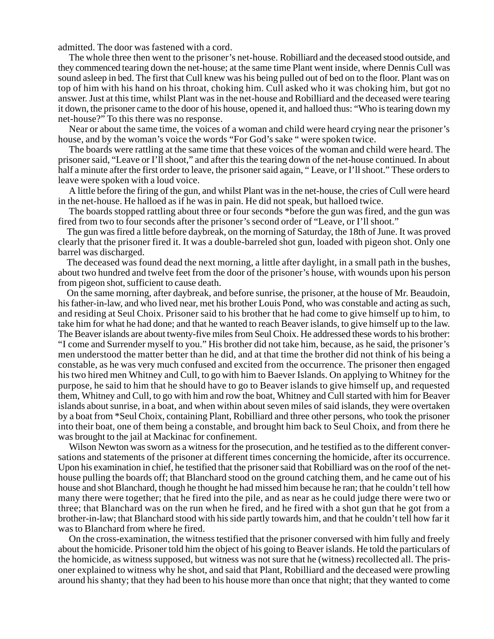admitted. The door was fastened with a cord.

The whole three then went to the prisoner's net-house. Robilliard and the deceased stood outside, and they commenced tearing down the net-house; at the same time Plant went inside, where Dennis Cull was sound asleep in bed. The first that Cull knew was his being pulled out of bed on to the floor. Plant was on top of him with his hand on his throat, choking him. Cull asked who it was choking him, but got no answer. Just at this time, whilst Plant was in the net-house and Robilliard and the deceased were tearing it down, the prisoner came to the door of his house, opened it, and halloed thus: "Who is tearing down my net-house?" To this there was no response.

Near or about the same time, the voices of a woman and child were heard crying near the prisoner's house, and by the woman's voice the words "For God's sake " were spoken twice.

The boards were rattling at the same time that these voices of the woman and child were heard. The prisoner said, "Leave or I'll shoot," and after this the tearing down of the net-house continued. In about half a minute after the first order to leave, the prisoner said again, " Leave, or I'll shoot." These orders to leave were spoken with a loud voice.

A little before the firing of the gun, and whilst Plant was in the net-house, the cries of Cull were heard in the net-house. He halloed as if he was in pain. He did not speak, but halloed twice.

The boards stopped rattling about three or four seconds \*before the gun was fired, and the gun was fired from two to four seconds after the prisoner's second order of "Leave, or I'll shoot."

The gun was fired a little before daybreak, on the morning of Saturday, the 18th of June. It was proved clearly that the prisoner fired it. It was a double-barreled shot gun, loaded with pigeon shot. Only one barrel was discharged.

The deceased was found dead the next morning, a little after daylight, in a small path in the bushes, about two hundred and twelve feet from the door of the prisoner's house, with wounds upon his person from pigeon shot, sufficient to cause death.

On the same morning, after daybreak, and before sunrise, the prisoner, at the house of Mr. Beaudoin, his father-in-law, and who lived near, met his brother Louis Pond, who was constable and acting as such, and residing at Seul Choix. Prisoner said to his brother that he had come to give himself up to him, to take him for what he had done; and that he wanted to reach Beaver islands, to give himself up to the law. The Beaver islands are about twenty-five miles from Seul Choix. He addressed these words to his brother: "I come and Surrender myself to you." His brother did not take him, because, as he said, the prisoner's men understood the matter better than he did, and at that time the brother did not think of his being a constable, as he was very much confused and excited from the occurrence. The prisoner then engaged his two hired men Whitney and Cull, to go with him to Baever Islands. On applying to Whitney for the purpose, he said to him that he should have to go to Beaver islands to give himself up, and requested them, Whitney and Cull, to go with him and row the boat, Whitney and Cull started with him for Beaver islands about sunrise, in a boat, and when within about seven miles of said islands, they were overtaken by a boat from \*Seul Choix, containing Plant, Robilliard and three other persons, who took the prisoner into their boat, one of them being a constable, and brought him back to Seul Choix, and from there he was brought to the jail at Mackinac for confinement.

Wilson Newton was sworn as a witness for the prosecution, and he testified as to the different conversations and statements of the prisoner at different times concerning the homicide, after its occurrence. Upon his examination in chief, he testified that the prisoner said that Robilliard was on the roof of the nethouse pulling the boards off; that Blanchard stood on the ground catching them, and he came out of his house and shot Blanchard, though he thought he had missed him because he ran; that he couldn't tell how many there were together; that he fired into the pile, and as near as he could judge there were two or three; that Blanchard was on the run when he fired, and he fired with a shot gun that he got from a brother-in-law; that Blanchard stood with his side partly towards him, and that he couldn't tell how far it was to Blanchard from where he fired.

On the cross-examination, the witness testified that the prisoner conversed with him fully and freely about the homicide. Prisoner told him the object of his going to Beaver islands. He told the particulars of the homicide, as witness supposed, but witness was not sure that he (witness) recollected all. The prisoner explained to witness why he shot, and said that Plant, Robilliard and the deceased were prowling around his shanty; that they had been to his house more than once that night; that they wanted to come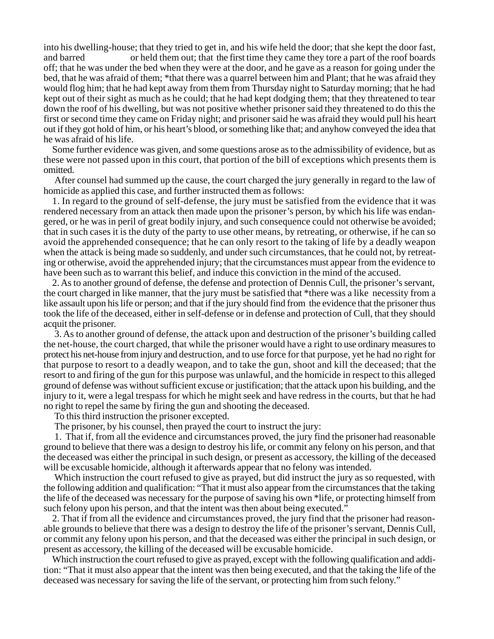into his dwelling-house; that they tried to get in, and his wife held the door; that she kept the door fast, and barred or held them out; that the first time they came they tore a part of the roof boards off; that he was under the bed when they were at the door, and he gave as a reason for going under the bed, that he was afraid of them; \*that there was a quarrel between him and Plant; that he was afraid they would flog him; that he had kept away from them from Thursday night to Saturday morning; that he had kept out of their sight as much as he could; that he had kept dodging them; that they threatened to tear down the roof of his dwelling, but was not positive whether prisoner said they threatened to do this the first or second time they came on Friday night; and prisoner said he was afraid they would pull his heart out if they got hold of him, or his heart's blood, or something like that; and anyhow conveyed the idea that he was afraid of his life.

Some further evidence was given, and some questions arose as to the admissibility of evidence, but as these were not passed upon in this court, that portion of the bill of exceptions which presents them is omitted.

After counsel had summed up the cause, the court charged the jury generally in regard to the law of homicide as applied this case, and further instructed them as follows:

1. In regard to the ground of self-defense, the jury must be satisfied from the evidence that it was rendered necessary from an attack then made upon the prisoner's person, by which his life was endangered, or he was in peril of great bodily injury, and such consequence could not otherwise be avoided; that in such cases it is the duty of the party to use other means, by retreating, or otherwise, if he can so avoid the apprehended consequence; that he can only resort to the taking of life by a deadly weapon when the attack is being made so suddenly, and under such circumstances, that he could not, by retreating or otherwise, avoid the apprehended injury; that the circumstances must appear from the evidence to have been such as to warrant this belief, and induce this conviction in the mind of the accused.

2. As to another ground of defense, the defense and protection of Dennis Cull, the prisoner's servant, the court charged in like manner, that the jury must be satisfied that \*there was a like necessity from a like assault upon his life or person; and that if the jury should find from the evidence that the prisoner thus took the life of the deceased, either in self-defense or in defense and protection of Cull, that they should acquit the prisoner.

3. As to another ground of defense, the attack upon and destruction of the prisoner's building called the net-house, the court charged, that while the prisoner would have a right to use ordinary measures to protect his net-house from injury and destruction, and to use force for that purpose, yet he had no right for that purpose to resort to a deadly weapon, and to take the gun, shoot and kill the deceased; that the resort to and firing of the gun for this purpose was unlawful, and the homicide in respect to this alleged ground of defense was without sufficient excuse or justification; that the attack upon his building, and the injury to it, were a legal trespass for which he might seek and have redress in the courts, but that he had no right to repel the same by firing the gun and shooting the deceased.

To this third instruction the prisoner excepted.

The prisoner, by his counsel, then prayed the court to instruct the jury:

1. That if, from all the evidence and circumstances proved, the jury find the prisoner had reasonable ground to believe that there was a design to destroy his life, or commit any felony on his person, and that the deceased was either the principal in such design, or present as accessory, the killing of the deceased will be excusable homicide, although it afterwards appear that no felony was intended.

Which instruction the court refused to give as prayed, but did instruct the jury as so requested, with the following addition and qualification: "That it must also appear from the circumstances that the taking the life of the deceased was necessary for the purpose of saving his own \*life, or protecting himself from such felony upon his person, and that the intent was then about being executed."

2. That if from all the evidence and circumstances proved, the jury find that the prisoner had reasonable grounds to believe that there was a design to destroy the life of the prisoner's servant, Dennis Cull, or commit any felony upon his person, and that the deceased was either the principal in such design, or present as accessory, the killing of the deceased will be excusable homicide.

Which instruction the court refused to give as prayed, except with the following qualification and addition: "That it must also appear that the intent was then being executed, and that the taking the life of the deceased was necessary for saving the life of the servant, or protecting him from such felony."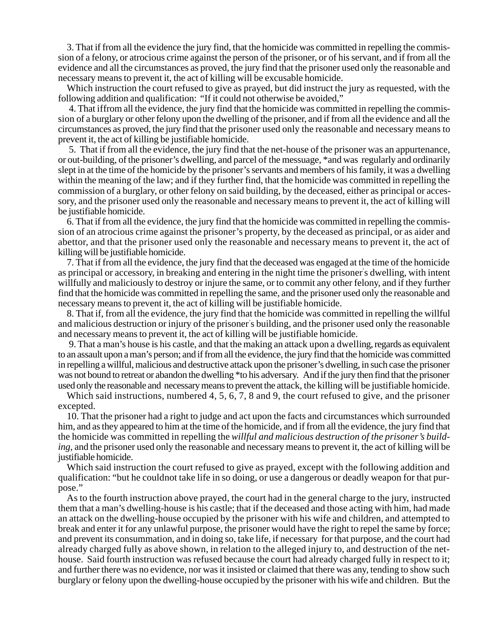3. That if from all the evidence the jury find, that the homicide was committed in repelling the commission of a felony, or atrocious crime against the person of the prisoner, or of his servant, and if from all the evidence and all the circumstances as proved, the jury find that the prisoner used only the reasonable and necessary means to prevent it, the act of killing will be excusable homicide.

Which instruction the court refused to give as prayed, but did instruct the jury as requested, with the following addition and qualification: "If it could not otherwise be avoided,"

4. That iffrom all the evidence, the jury find that the homicide was committed in repelling the commission of a burglary or other felony upon the dwelling of the prisoner, and if from all the evidence and all the circumstances as proved, the jury find that the prisoner used only the reasonable and necessary means to prevent it, the act of killing be justifiable homicide.

5. That if from all the evidence, the jury find that the net-house of the prisoner was an appurtenance, or out-building, of the prisoner's dwelling, and parcel of the messuage, \*and was regularly and ordinarily slept in at the time of the homicide by the prisoner's servants and members of his family, it was a dwelling within the meaning of the law; and if they further find, that the homicide was committed in repelling the commission of a burglary, or other felony on said building, by the deceased, either as principal or accessory, and the prisoner used only the reasonable and necessary means to prevent it, the act of killing will be justifiable homicide.

6. That if from all the evidence, the jury find that the homicide was committed in repelling the commission of an atrocious crime against the prisoner's property, by the deceased as principal, or as aider and abettor, and that the prisoner used only the reasonable and necessary means to prevent it, the act of killing will be justifiable homicide.

7. That if from all the evidence, the jury find that the deceased was engaged at the time of the homicide as principal or accessory, in breaking and entering in the night time the prisoner' s dwelling, with intent willfully and maliciously to destroy or injure the same, or to commit any other felony, and if they further find that the homicide was committed in repelling the same, and the prisoner used only the reasonable and necessary means to prevent it, the act of killing will be justifiable homicide.

8. That if, from all the evidence, the jury find that the homicide was committed in repelling the willful and malicious destruction or injury of the prisoner' s building, and the prisoner used only the reasonable and necessary means to prevent it, the act of killing will be justifiable homicide.

9. That a man's house is his castle, and that the making an attack upon a dwelling, regards as equivalent to an assault upon a man's person; and if from all the evidence, the jury find that the homicide was committed in repelling a willful, malicious and destructive attack upon the prisoner's dwelling, in such case the prisoner was not bound to retreat or abandon the dwelling \*to his adversary. And if the jury then find that the prisoner used only the reasonable and necessary means to prevent the attack, the killing will be justifiable homicide.

Which said instructions, numbered 4, 5, 6, 7, 8 and 9, the court refused to give, and the prisoner excepted.

10. That the prisoner had a right to judge and act upon the facts and circumstances which surrounded him, and as they appeared to him at the time of the homicide, and if from all the evidence, the jury find that the homicide was committed in repelling the *willful and malicious destruction of the prisoner's building,* and the prisoner used only the reasonable and necessary means to prevent it, the act of killing will be justifiable homicide.

Which said instruction the court refused to give as prayed, except with the following addition and qualification: "but he couldnot take life in so doing, or use a dangerous or deadly weapon for that purpose."

As to the fourth instruction above prayed, the court had in the general charge to the jury, instructed them that a man's dwelling-house is his castle; that if the deceased and those acting with him, had made an attack on the dwelling-house occupied by the prisoner with his wife and children, and attempted to break and enter it for any unlawful purpose, the prisoner would have the right to repel the same by force; and prevent its consummation, and in doing so, take life, if necessary for that purpose, and the court had already charged fully as above shown, in relation to the alleged injury to, and destruction of the nethouse. Said fourth instruction was refused because the court had already charged fully in respect to it; and further there was no evidence, nor was it insisted or claimed that there was any, tending to show such burglary or felony upon the dwelling-house occupied by the prisoner with his wife and children. But the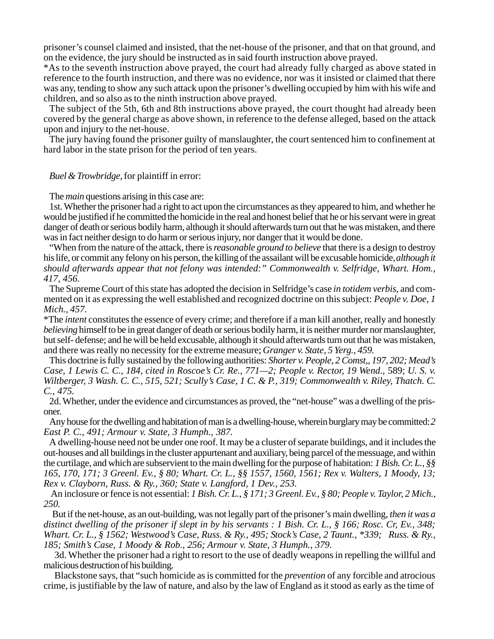prisoner's counsel claimed and insisted, that the net-house of the prisoner, and that on that ground, and on the evidence, the jury should be instructed as in said fourth instruction above prayed.

\*As to the seventh instruction above prayed, the court had already fully charged as above stated in reference to the fourth instruction, and there was no evidence, nor was it insisted or claimed that there was any, tending to show any such attack upon the prisoner's dwelling occupied by him with his wife and children, and so also as to the ninth instruction above prayed.

The subject of the 5th, 6th and 8th instructions above prayed, the court thought had already been covered by the general charge as above shown, in reference to the defense alleged, based on the attack upon and injury to the net-house.

The jury having found the prisoner guilty of manslaughter, the court sentenced him to confinement at hard labor in the state prison for the period of ten years.

*Buel & Trowbridge,* for plaintiff in error:

The *main* questions arising in this case are:

1st. Whether the prisoner had a right to act upon the circumstances as they appeared to him, and whether he would be justified if he committed the homicide in the real and honest belief that he or his servant were in great danger of death or serious bodily harm, although it should afterwards turn out that he was mistaken, and there was in fact neither design to do harm or serious injury, nor danger that it would be done.

"When from the nature of the attack, there is *reasonable ground to believe* that there is a design to destroy his life, or commit any felony on his person, the killing of the assailant will be excusable homicide, *although it should afterwards appear that not felony was intended:" Commonwealth v. Selfridge, Whart. Hom., 417, 456.*

The Supreme Court of this state has adopted the decision in Selfridge's case *in totidem verbis*, and commented on it as expressing the well established and recognized doctrine on this subject: *People v. Doe, 1 Mich., 457.*

\*The *intent* constitutes the essence of every crime; and therefore if a man kill another, really and honestly *believing* himself to be in great danger of death or serious bodily harm, it is neither murder nor manslaughter, but self- defense; and he will be held excusable, although it should afterwards turn out that he was mistaken, and there was really no necessity for the extreme measure; *Granger v. State, 5 Yerg., 459.*

This doctrine is fully sustained by the following authorities: *Shorter v. People, 2 Comst,, 197, 202; Mead's Case, 1 Lewis C. C., 184, cited in Roscoe's Cr. Re., 771—2; People v. Rector, 19 Wend.,* 589; *U. S. v. Wiltberger, 3 Wash. C. C., 515, 521; Scully's Case, 1 C. & P., 319; Commonwealth v. Riley, Thatch. C. C., 475.*

2d. Whether, under the evidence and circumstances as proved, the "net-house" was a dwelling of the prisoner.

Any house for the dwelling and habitation of man is a dwelling-house, wherein burglary may be committed: *2 East P. C., 491; Armour v. State, 3 Humph., 387.*

A dwelling-house need not be under one roof. It may be a cluster of separate buildings, and it includes the out-houses and all buildings in the cluster appurtenant and auxiliary, being parcel of the messuage, and within the curtilage, and which are subservient to the main dwelling for the purpose of habitation: *1 Bish. Cr. L., §§ 165, 170, 171; 3 Greenl. Ev., § 80; Whart. Cr. L., §§ 1557, 1560, 1561; Rex v. Walters, 1 Moody, 13; Rex v. Clayborn, Russ. & Ry., 360; State v. Langford, 1 Dev., 253.*

An inclosure or fence is not essential: *1 Bish. Cr. L., § 171; 3 Greenl. Ev., § 80; People v. Taylor, 2 Mich., 250.*

But if the net-house, as an out-building, was not legally part of the prisoner's main dwelling, *then it was a distinct dwelling of the prisoner if slept in by his servants : 1 Bish. Cr. L., § 166; Rosc. Cr, Ev., 348; Whart. Cr. L., § 1562; Westwood's Case, Russ. & Ry., 495; Stock's Case, 2 Taunt., \*339; Russ. & Ry., 185; Smith's Case, 1 Moody & Rob., 256; Armour v. State, 3 Humph., 379.*

3d. Whether the prisoner had a right to resort to the use of deadly weapons in repelling the willful and malicious destruction of his building.

Blackstone says, that "such homicide as is committed for the *prevention* of any forcible and atrocious crime, is justifiable by the law of nature, and also by the law of England as it stood as early as the time of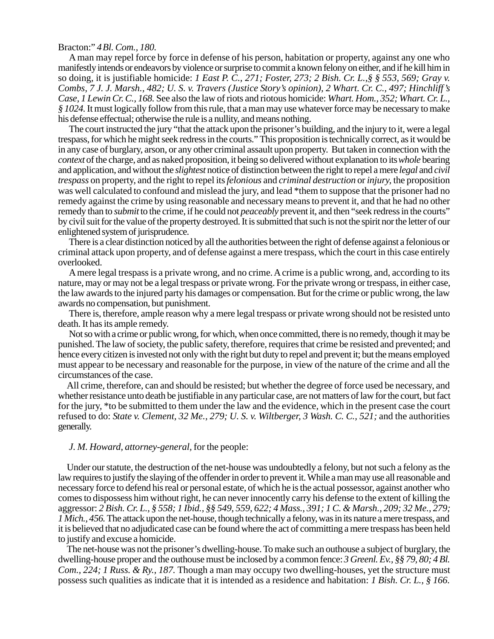## Bracton:" *4Bl. Com., 180.*

A man may repel force by force in defense of his person, habitation or property, against any one who manifestly intends or endeavors by violence or surprise to commit a known felony on either, and if he kill him in so doing, it is justifiable homicide: *1 East P. C., 271; Foster, 273; 2 Bish. Cr. L.,§ § 553, 569; Gray v. Combs, 7 J. J. Marsh., 482; U. S. v. Travers (Justice Story's opinion), 2 Whart. Cr. C., 497; Hinchliff's Case, 1 Lewin Cr. C., 168.* See also the law of riots and riotous homicide: *Whart. Hom., 352; Whart. Cr. L., § 1024.* It must logically follow from this rule, that a man may use whatever force may be necessary to make his defense effectual; otherwise the rule is a nullity, and means nothing.

The court instructed the jury "that the attack upon the prisoner's building, and the injury to it, were a legal trespass, for which he might seek redress in the courts." This proposition is technically correct, as it would be in any case of burglary, arson, or any other criminal assault upon property. But taken in connection with the *context* of the charge, and as naked proposition, it being so delivered without explanation to its *whole* bearing and application, and without the *slightest* notice of distinction between the right to repel a mere *legal* and *civil trespass* on property, and the right to repel its *felonious* and *criminal destruction* or *injury,* the proposition was well calculated to confound and mislead the jury, and lead \*them to suppose that the prisoner had no remedy against the crime by using reasonable and necessary means to prevent it, and that he had no other remedy than to *submit* to the crime, if he could not *peaceably* prevent it, and then "seek redress in the courts" by civil suit for the value of the property destroyed. It is submitted that such is not the spirit nor the letter of our enlightened system of jurisprudence.

There is a clear distinction noticed by all the authorities between the right of defense against a felonious or criminal attack upon property, and of defense against a mere trespass, which the court in this case entirely overlooked.

A mere legal trespass is a private wrong, and no crime. A crime is a public wrong, and, according to its nature, may or may not be a legal trespass or private wrong. For the private wrong or trespass, in either case, the law awards to the injured party his damages or compensation. But for the crime or public wrong, the law awards no compensation, but punishment.

There is, therefore, ample reason why a mere legal trespass or private wrong should not be resisted unto death. It has its ample remedy.

Not so with a crime or public wrong, for which, when once committed, there is no remedy, though it may be punished. The law of society, the public safety, therefore, requires that crime be resisted and prevented; and hence every citizen is invested not only with the right but duty to repel and prevent it; but the means employed must appear to be necessary and reasonable for the purpose, in view of the nature of the crime and all the circumstances of the case.

All crime, therefore, can and should be resisted; but whether the degree of force used be necessary, and whether resistance unto death be justifiable in any particular case, are not matters of law for the court, but fact for the jury, \*to be submitted to them under the law and the evidence, which in the present case the court refused to do: *State v. Clement, 32 Me., 279; U. S. v. Wiltberger, 3 Wash. C. C., 521;* and the authorities generally.

#### *J. M. Howard, attorney-general,* for the people:

Under our statute, the destruction of the net-house was undoubtedly a felony, but not such a felony as the law requires to justify the slaying of the offender in order to prevent it. While a man may use all reasonable and necessary force to defend his real or personal estate, of which he is the actual possessor, against another who comes to dispossess him without right, he can never innocently carry his defense to the extent of killing the aggressor: *2 Bish. Cr. L., § 558; 1 Ibid., §§ 549, 559, 622; 4 Mass., 391; 1 C. & Marsh., 209; 32 Me., 279; 1 Mich., 456.* The attack upon the net-house, though technically a felony, was in its nature a mere trespass, and it is believed that no adjudicated case can be found where the act of committing a mere trespass has been held to justify and excuse a homicide.

The net-house was not the prisoner's dwelling-house. To make such an outhouse a subject of burglary, the dwelling-house proper and the outhouse must be inclosed by a common fence: *3 Greenl. Ev., §§ 79, 80; 4 Bl. Com., 224; 1 Russ. & Ry., 187.* Though a man may occupy two dwelling-houses, yet the structure must possess such qualities as indicate that it is intended as a residence and habitation: *1 Bish. Cr. L., § 166.*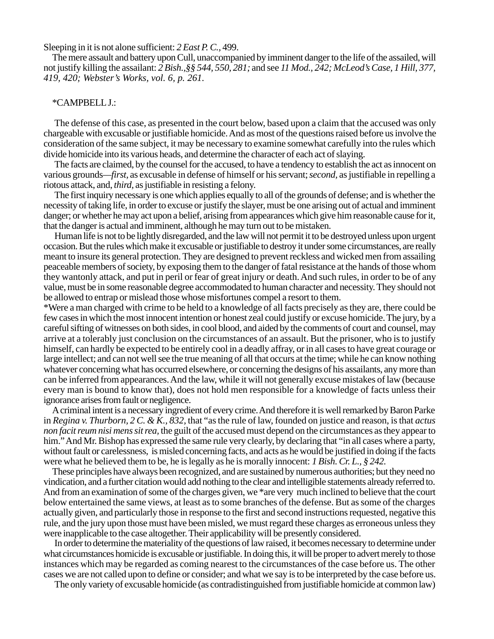Sleeping in it is not alone sufficient: *2 East P. C.,* 499.

The mere assault and battery upon Cull, unaccompanied by imminent danger to the life of the assailed, will not justify killing the assailant: *2 Bish.,§§ 544, 550, 281;* and see *11 Mod., 242; McLeod's Case, 1 Hill, 377, 419, 420; Webster's Works, vol. 6, p. 261.*

### \*CAMPBELL J.:

The defense of this case, as presented in the court below, based upon a claim that the accused was only chargeable with excusable or justifiable homicide. And as most of the questions raised before us involve the consideration of the same subject, it may be necessary to examine somewhat carefully into the rules which divide homicide into its various heads, and determine the character of each act of slaying.

The facts are claimed, by the counsel for the accused, to have a tendency to establish the act as innocent on various grounds*—first,* as excusable in defense of himself or his servant; *second,* as justifiable in repelling a riotous attack, and, *third,* as justifiable in resisting a felony.

The first inquiry necessary is one which applies equally to all of the grounds of defense; and is whether the necessity of taking life, in order to excuse or justify the slayer, must be one arising out of actual and imminent danger; or whether he may act upon a belief, arising from appearances which give him reasonable cause for it, that the danger is actual and imminent, although he may turn out to be mistaken.

Human life is not to be lightly disregarded, and the law will not permit it to be destroyed unless upon urgent occasion. But the rules which make it excusable or justifiable to destroy it under some circumstances, are really meant to insure its general protection. They are designed to prevent reckless and wicked men from assailing peaceable members of society, by exposing them to the danger of fatal resistance at the hands of those whom they wantonly attack, and put in peril or fear of great injury or death. And such rules, in order to be of any value, must be in some reasonable degree accommodated to human character and necessity. They should not be allowed to entrap or mislead those whose misfortunes compel a resort to them.

\*Were a man charged with crime to be held to a knowledge of all facts precisely as they are, there could be few cases in which the most innocent intention or honest zeal could justify or excuse homicide. The jury, by a careful sifting of witnesses on both sides, in cool blood, and aided by the comments of court and counsel, may arrive at a tolerably just conclusion on the circumstances of an assault. But the prisoner, who is to justify himself, can hardly be expected to be entirely cool in a deadly affray, or in all cases to have great courage or large intellect; and can not well see the true meaning of all that occurs at the time; while he can know nothing whatever concerning what has occurred elsewhere, or concerning the designs of his assailants, any more than can be inferred from appearances. And the law, while it will not generally excuse mistakes of law (because every man is bound to know that), does not hold men responsible for a knowledge of facts unless their ignorance arises from fault or negligence.

A criminal intent is a necessary ingredient of every crime. And therefore it is well remarked by Baron Parke in *Regina v. Thurborn, 2 C. & K., 832,* that "as the rule of law, founded on justice and reason, is that *actus non facit reum nisi mens sit rea,* the guilt of the accused must depend on the circumstances as they appear to him." And Mr. Bishop has expressed the same rule very clearly, by declaring that "in all cases where a party, without fault or carelessness, is misled concerning facts, and acts as he would be justified in doing if the facts were what he believed them to be, he is legally as he is morally innocent: *1 Bish. Cr. L., § 242.*

These principles have always been recognized, and are sustained by numerous authorities; but they need no vindication, and a further citation would add nothing to the clear and intelligible statements already referred to. And from an examination of some of the charges given, we \*are verymuch inclined to believe that the court below entertained the same views, at least as to some branches of the defense. But as some of the charges actually given, and particularly those in response to the first and second instructions requested, negative this rule, and the jury upon those must have been misled, we must regard these charges as erroneous unless they were inapplicable to the case altogether. Their applicability will be presently considered.

In order to determine the materiality of the questions of law raised, it becomes necessary to determine under what circumstances homicide is excusable or justifiable. In doing this, it will be proper to advert merely to those instances which may be regarded as coming nearest to the circumstances of the case before us. The other cases we are not called upon to define or consider; and what we say is to be interpreted by the case before us.

The only variety of excusable homicide (as contradistinguished from justifiable homicide at common law)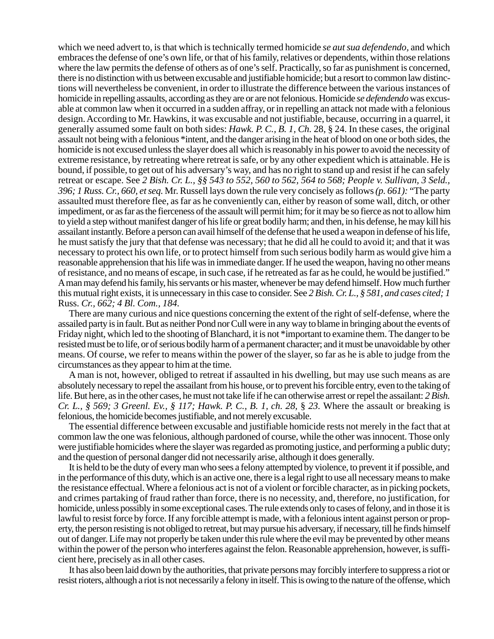which we need advert to, is that which is technically termed homicide *se aut sua defendendo,* and which embraces the defense of one's own life, or that of his family, relatives or dependents, within those relations where the law permits the defense of others as of one's self. Practically, so far as punishment is concerned, there is no distinction with us between excusable and justifiable homicide; but a resort to common law distinctions will nevertheless be convenient, in order to illustrate the difference between the various instances of homicide in repelling assaults, according as they are or are not felonious. Homicide *se defendendo* was excusable at common law when it occurred in a sudden affray, or in repelling an attack not made with a felonious design. According to Mr. Hawkins, it was excusable and not justifiable, because, occurring in a quarrel, it generally assumed some fault on both sides: *Hawk. P. C., B. 1, Ch.* 28, § 24. In these cases, the original assault not being with a felonious \*intent, and the danger arising in the heat of blood on one or both sides, the homicide is not excused unless the slayer does all which is reasonably in his power to avoid the necessity of extreme resistance, by retreating where retreat is safe, or by any other expedient which is attainable. He is bound, if possible, to get out of his adversary's way, and has no right to stand up and resist if he can safely retreat or escape. See *2 Bish. Cr. L., §§ 543 to 552, 560 to 562, 564 to 568; People v. Sullivan, 3 Seld., 396; 1 Russ. Cr., 660, et seq.* Mr. Russell lays down the rule very concisely as follows *(p. 661):* "The party assaulted must therefore flee, as far as he conveniently can, either by reason of some wall, ditch, or other impediment, or as far as the fierceness of the assault will permit him; for it may be so fierce as not to allow him to yield a step without manifest danger of his life or great bodily harm; and then, in his defense, he may kill his assailant instantly. Before a person can avail himself of the defense that he used a weapon in defense of his life, he must satisfy the jury that that defense was necessary; that he did all he could to avoid it; and that it was necessary to protect his own life, or to protect himself from such serious bodily harm as would give him a reasonable apprehension that his life was in immediate danger. If he used the weapon, having no other means of resistance, and no means of escape, in such case, if he retreated as far as he could, he would be justified." A man may defend his family, his servants or his master, whenever be may defend himself. How much further this mutual right exists, it is unnecessary in this case to consider. See *2 Bish. Cr. L., § 581, and cases cited; 1* Russ. *Cr., 662; 4 Bl. Com., 184.*

There are many curious and nice questions concerning the extent of the right of self-defense, where the assailed party is in fault. But as neither Pond nor Cull were in any way to blame in bringing about the events of Friday night, which led to the shooting of Blanchard, it is not \*important to examine them. The danger to be resisted must be to life, or of serious bodily harm of a permanent character; and it must be unavoidable by other means. Of course, we refer to means within the power of the slayer, so far as he is able to judge from the circumstances as they appear to him at the time.

A man is not, however, obliged to retreat if assaulted in his dwelling, but may use such means as are absolutely necessary to repel the assailant from his house, or to prevent his forcible entry, even to the taking of life. But here, as in the other cases, he must not take life if he can otherwise arrest or repel the assailant: *2 Bish. Cr. L., § 569; 3 Greenl. Ev., § 117; Hawk. P. C., B. 1, ch. 28, § 23. Where the assault or breaking is* felonious, the homicide becomes justifiable, and not merely excusable.

The essential difference between excusable and justifiable homicide rests not merely in the fact that at common law the one was felonious, although pardoned of course, while the other was innocent. Those only were justifiable homicides where the slayer was regarded as promoting justice, and performing a public duty; and the question of personal danger did not necessarily arise, although it does generally.

It is held to be the duty of every man who sees a felony attempted by violence, to prevent it if possible, and in the performance of this duty, which is an active one, there is a legal right to use all necessary means to make the resistance effectual. Where a felonious act is not of a violent or forcible character, as in picking pockets, and crimes partaking of fraud rather than force, there is no necessity, and, therefore, no justification, for homicide, unless possibly in some exceptional cases. The rule extends only to cases of felony, and in those it is lawful to resist force by force. If any forcible attempt is made, with a felonious intent against person or property, the person resisting is not obliged to retreat, but may pursue his adversary, if necessary, till he finds himself out of danger. Life may not properly be taken under this rule where the evil may be prevented by other means within the power of the person who interferes against the felon. Reasonable apprehension, however, is sufficient here, precisely as in all other cases.

It has also been laid down by the authorities, that private persons may forcibly interfere to suppress a riot or resist rioters, although a riot is not necessarily a felony in itself. This is owing to the nature of the offense, which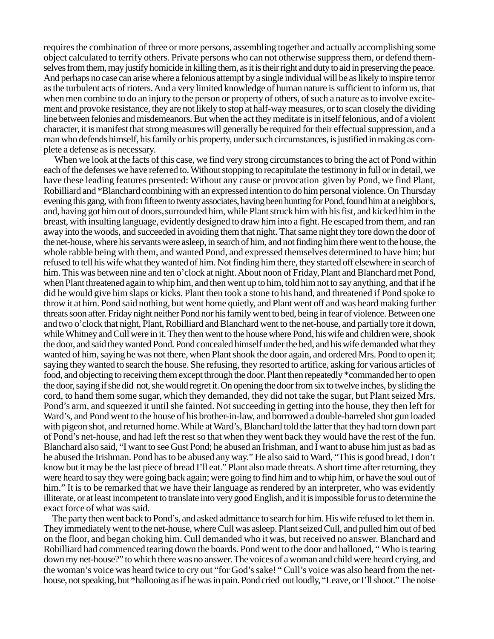requires the combination of three or more persons, assembling together and actually accomplishing some object calculated to terrify others. Private persons who can not otherwise suppress them, or defend themselves from them, may justify homicide in killing them, as it is their right and duty to aid in preserving the peace. And perhaps no case can arise where a felonious attempt by a single individual will be as likely to inspire terror as the turbulent acts of rioters. And a very limited knowledge of human nature is sufficient to inform us, that when men combine to do an injury to the person or property of others, of such a nature as to involve excitement and provoke resistance, they are not likely to stop at half-way measures, or to scan closely the dividing line between felonies and misdemeanors. But when the act they meditate is in itself felonious, and of a violent character, it is manifest that strong measures will generally be required for their effectual suppression, and a man who defends himself, his family or his property, under such circumstances, is justified in making as complete a defense as is necessary.

When we look at the facts of this case, we find very strong circumstances to bring the act of Pond within each of the defenses we have referred to. Without stopping to recapitulate the testimony in full or in detail, we have these leading features presented: Without any cause or provocation given by Pond, we find Plant, Robilliard and \*Blanchard combining with an expressed intention to do him personal violence. On Thursday evening this gang, with from fifteen to twenty associates, having been hunting for Pond, found him at a neighbor' s, and, having got him out of doors,surrounded him, while Plant struck him with his fist, and kicked him in the breast, with insulting language, evidently designed to draw him into a fight. He escaped from them, and ran away into the woods, and succeeded in avoiding them that night. That same night they tore down the door of the net-house, where his servants were asleep, in search of him, and not finding him there went to the house, the whole rabble being with them, and wanted Pond, and expressed themselves determined to have him; but refused to tell his wife what they wanted of him. Not finding him there, they started off elsewhere in search of him. This was between nine and ten o'clock at night. About noon of Friday, Plant and Blanchard met Pond, when Plant threatened again to whip him, and then went up to him, told him not to say anything, and that if he did he would give him slaps or kicks. Plant then took a stone to his hand, and threatened if Pond spoke to throw it at him. Pond said nothing, but went home quietly, and Plant went off and was heard making further threats soon after. Friday night neither Pond nor his family went to bed, being in fear of violence. Between one and two o'clock that night, Plant, Robilliard and Blanchard went to the net-house, and partially tore it down, while Whitney and Cull were in it. They then went to the house where Pond, his wife and children were, shook the door, and said they wanted Pond. Pond concealed himself under the bed, and his wife demanded what they wanted of him, saying he was not there, when Plant shook the door again, and ordered Mrs. Pond to open it; saying they wanted to search the house. She refusing, they resorted to artifice, asking for various articles of food, and objecting to receiving them except through the door. Plant then repeatedly \*commanded her to open the door, saying if she did not, she would regret it. On opening the door from six to twelve inches, by sliding the cord, to hand them some sugar, which they demanded, they did not take the sugar, but Plant seized Mrs. Pond's arm, and squeezed it until she fainted. Not succeeding in getting into the house, they then left for Ward's, and Pond went to the house of his brother-in-law, and borrowed a double-barreled shot gun loaded with pigeon shot, and returned home. While at Ward's, Blanchard told the latter that they had torn down part of Pond's net-house, and had left the rest so that when they went back they would have the rest of the fun. Blanchard also said, "I want to see Gust Pond; he abused an Irishman, and I want to abuse him just as bad as he abused the Irishman. Pond has to be abused any way." He also said to Ward, "This is good bread, I don't know but it may be the last piece of bread I'll eat." Plant also made threats. A short time after returning, they were heard to say they were going back again; were going to find him and to whip him, or have the soul out of him." It is to be remarked that we have their language as rendered by an interpreter, who was evidently illiterate, or at least incompetent to translate into very good English, and it is impossible for us to determine the exact force of what was said.

The party then went back to Pond's, and asked admittance to search for him. His wife refused to let them in. They immediately went to the net-house, where Cull was asleep. Plant seized Cull, and pulled him out of bed on the floor, and began choking him. Cull demanded who it was, but received no answer. Blanchard and Robilliard had commenced tearing down the boards. Pond went to the door and hallooed, " Who is tearing down my net-house?" to which there was no answer. The voices of a woman and child were heard crying, and the woman's voice was heard twice to cry out "for God's sake! " Cull's voice was also heard from the nethouse, not speaking, but \*hallooing as if he was in pain. Pond cried out loudly, "Leave, or I'll shoot." The noise